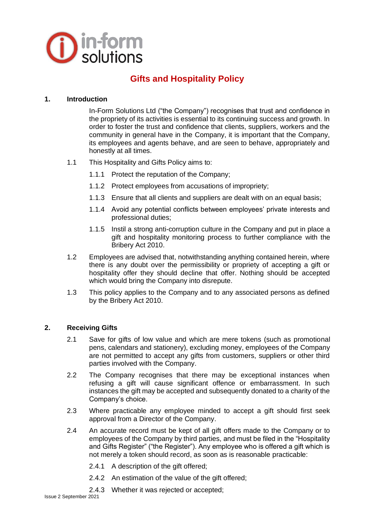

# **Gifts and Hospitality Policy**

#### **1. Introduction**

In-Form Solutions Ltd ("the Company") recognises that trust and confidence in the propriety of its activities is essential to its continuing success and growth. In order to foster the trust and confidence that clients, suppliers, workers and the community in general have in the Company, it is important that the Company, its employees and agents behave, and are seen to behave, appropriately and honestly at all times.

- 1.1 This Hospitality and Gifts Policy aims to:
	- 1.1.1 Protect the reputation of the Company;
	- 1.1.2 Protect employees from accusations of impropriety;
	- 1.1.3 Ensure that all clients and suppliers are dealt with on an equal basis;
	- 1.1.4 Avoid any potential conflicts between employees' private interests and professional duties;
	- 1.1.5 Instil a strong anti-corruption culture in the Company and put in place a gift and hospitality monitoring process to further compliance with the Bribery Act 2010.
- 1.2 Employees are advised that, notwithstanding anything contained herein, where there is any doubt over the permissibility or propriety of accepting a gift or hospitality offer they should decline that offer. Nothing should be accepted which would bring the Company into disrepute.
- 1.3 This policy applies to the Company and to any associated persons as defined by the Bribery Act 2010.

#### **2. Receiving Gifts**

- 2.1 Save for gifts of low value and which are mere tokens (such as promotional pens, calendars and stationery), excluding money, employees of the Company are not permitted to accept any gifts from customers, suppliers or other third parties involved with the Company.
- 2.2 The Company recognises that there may be exceptional instances when refusing a gift will cause significant offence or embarrassment. In such instances the gift may be accepted and subsequently donated to a charity of the Company's choice.
- 2.3 Where practicable any employee minded to accept a gift should first seek approval from a Director of the Company.
- 2.4 An accurate record must be kept of all gift offers made to the Company or to employees of the Company by third parties, and must be filed in the "Hospitality and Gifts Register" ("the Register"). Any employee who is offered a gift which is not merely a token should record, as soon as is reasonable practicable:
	- 2.4.1 A description of the gift offered;
	- 2.4.2 An estimation of the value of the gift offered;
	- 2.4.3 Whether it was rejected or accepted;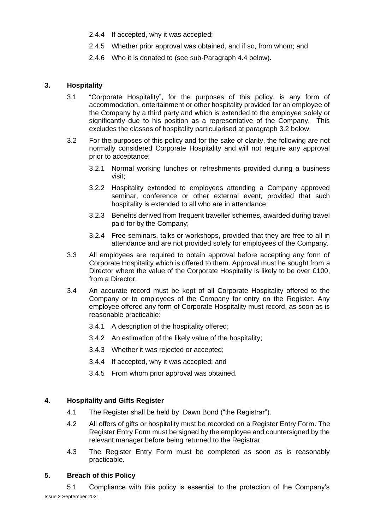- 2.4.4 If accepted, why it was accepted;
- 2.4.5 Whether prior approval was obtained, and if so, from whom; and
- 2.4.6 Who it is donated to (see sub-Paragraph 4.4 below).

### **3. Hospitality**

- 3.1 "Corporate Hospitality", for the purposes of this policy, is any form of accommodation, entertainment or other hospitality provided for an employee of the Company by a third party and which is extended to the employee solely or significantly due to his position as a representative of the Company. This excludes the classes of hospitality particularised at paragraph 3.2 below.
- 3.2 For the purposes of this policy and for the sake of clarity, the following are not normally considered Corporate Hospitality and will not require any approval prior to acceptance:
	- 3.2.1 Normal working lunches or refreshments provided during a business visit;
	- 3.2.2 Hospitality extended to employees attending a Company approved seminar, conference or other external event, provided that such hospitality is extended to all who are in attendance;
	- 3.2.3 Benefits derived from frequent traveller schemes, awarded during travel paid for by the Company;
	- 3.2.4 Free seminars, talks or workshops, provided that they are free to all in attendance and are not provided solely for employees of the Company.
- 3.3 All employees are required to obtain approval before accepting any form of Corporate Hospitality which is offered to them. Approval must be sought from a Director where the value of the Corporate Hospitality is likely to be over £100, from a Director.
- 3.4 An accurate record must be kept of all Corporate Hospitality offered to the Company or to employees of the Company for entry on the Register. Any employee offered any form of Corporate Hospitality must record, as soon as is reasonable practicable:
	- 3.4.1 A description of the hospitality offered;
	- 3.4.2 An estimation of the likely value of the hospitality;
	- 3.4.3 Whether it was rejected or accepted;
	- 3.4.4 If accepted, why it was accepted; and
	- 3.4.5 From whom prior approval was obtained.

## **4. Hospitality and Gifts Register**

- 4.1 The Register shall be held by Dawn Bond ("the Registrar").
- 4.2 All offers of gifts or hospitality must be recorded on a Register Entry Form. The Register Entry Form must be signed by the employee and countersigned by the relevant manager before being returned to the Registrar.
- 4.3 The Register Entry Form must be completed as soon as is reasonably practicable.

#### **5. Breach of this Policy**

Issue 2 September 2021 5.1 Compliance with this policy is essential to the protection of the Company's